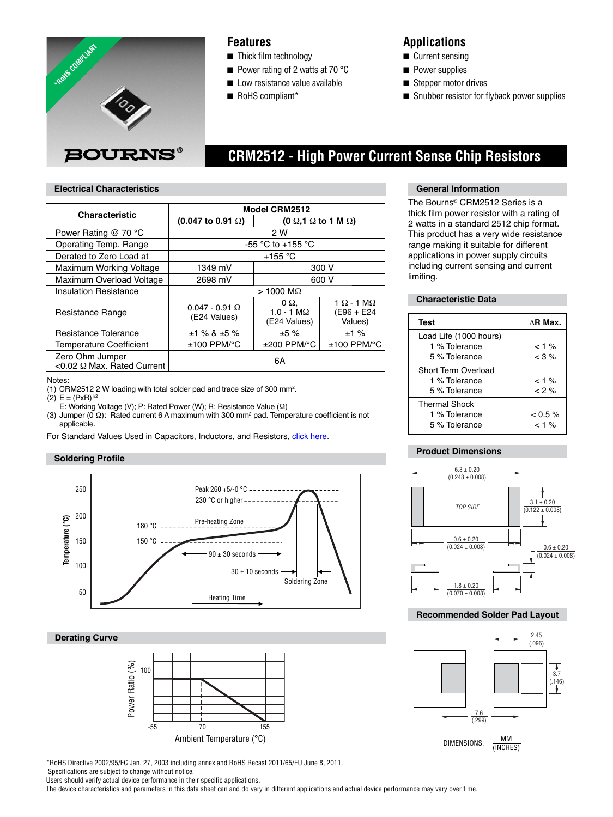

### **Features**

- Thick film technology
- Power rating of 2 watts at 70 °C
- Low resistance value available
- RoHS compliant\*

### **Applications**

- Current sensing
- Power supplies

 **CRM2512 - High Power Current Sense Chip Resistors**

- Stepper motor drives
- Snubber resistor for flyback power supplies

#### **Electrical Characteristics**

| <b>Characteristic</b>                         | Model CRM2512                           |                                        |                                                 |
|-----------------------------------------------|-----------------------------------------|----------------------------------------|-------------------------------------------------|
|                                               | $(0.047 \text{ to } 0.91 \Omega)$       | $(0 \Omega, 1 \Omega$ to 1 M $\Omega)$ |                                                 |
| Power Rating @ 70 °C                          | 2 W                                     |                                        |                                                 |
| Operating Temp. Range                         | -55 °C to +155 °C                       |                                        |                                                 |
| Derated to Zero Load at                       | $+155 °C$                               |                                        |                                                 |
| Maximum Working Voltage                       | 1349 mV                                 | 300 V                                  |                                                 |
| Maximum Overload Voltage                      | 2698 mV                                 | 600 V                                  |                                                 |
| <b>Insulation Resistance</b>                  | $>1000$ M $\Omega$                      |                                        |                                                 |
| Resistance Range                              | $0.047 - 0.91$ $\Omega$<br>(E24 Values) | 0Ω,<br>$1.0 - 1 MQ$<br>(E24 Values)    | $1 \Omega - 1 M\Omega$<br>(E96 + E24<br>Values) |
| Resistance Tolerance                          | $±1\%$ & $±5\%$                         | ±5%                                    | ±1%                                             |
| <b>Temperature Coefficient</b>                | $±100$ PPM/ $°C$                        | $±200$ PPM/ $°C$                       | $±100$ PPM/ $°C$                                |
| Zero Ohm Jumper<br><0.02 Ω Max. Rated Current | 6A                                      |                                        |                                                 |

Notes:

(1) CRM2512 2 W loading with total solder pad and trace size of 300 mm<sup>2</sup>.

- (2)  $E = (PxR)^{1/2}$
- E: Working Voltage (V); P: Rated Power (W); R: Resistance Value (Ω)

(3) Jumper (0  $\Omega$ ): Rated current 6 A maximum with 300 mm<sup>2</sup> pad. Temperature coefficient is not applicable.

For Standard Values Used in Capacitors, Inductors, and Res[istors, click here.](http://www.bourns.com/Support.aspx?name=TechnicalLibraryStndrdValues)

#### **Soldering Profile**



#### **Derating Curve**



\*RoHS Directive 2002/95/EC Jan. 27, 2003 including annex and RoHS Recast 2011/65/EU June 8, 2011. Specifications are subject to change without notice.

Users should verify actual device performance in their specific applications.

The device characteristics and parameters in this data sheet can and do vary in different applications and actual device performance may vary over time.

#### **General Information**

The Bourns® CRM2512 Series is a thick film power resistor with a rating of 2 watts in a standard 2512 chip format. This product has a very wide resistance range making it suitable for different applications in power supply circuits including current sensing and current limiting.

#### **Characteristic Data**

| <b>Test</b>            | $AR$ Max.  |
|------------------------|------------|
| Load Life (1000 hours) |            |
| 1 % Tolerance          | < 1 %      |
| 5 % Tolerance          | $<$ 3 %    |
| Short Term Overload    |            |
| 1 % Tolerance          | < 1 %      |
| 5 % Tolerance          | < 2%       |
| <b>Thermal Shock</b>   |            |
| 1 % Tolerance          | $< 0.5 \%$ |
| 5 % Tolerance          | $< 1 \%$   |

#### **Product Dimensions**



#### **Recommended Solder Pad Layout**

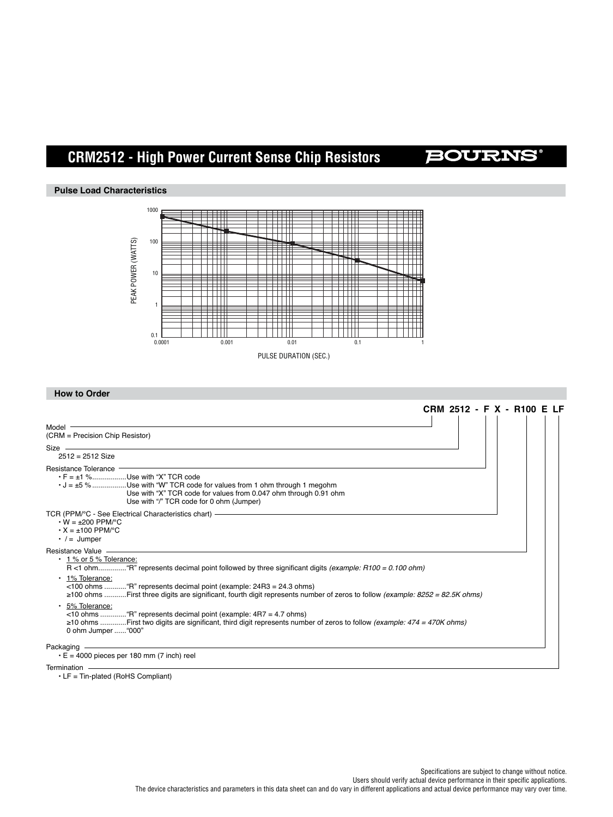# **CRM2512 - High Power Current Sense Chip Resistors**

## **BOURNS®**

#### **Pulse Load Characteristics**



### **How to Order**

| CRM 2512 - F X - R100 E LF                                                                                                                                                                                                                                                 |  |
|----------------------------------------------------------------------------------------------------------------------------------------------------------------------------------------------------------------------------------------------------------------------------|--|
| Model -                                                                                                                                                                                                                                                                    |  |
| (CRM = Precision Chip Resistor)                                                                                                                                                                                                                                            |  |
| $Size$ $\qquad$                                                                                                                                                                                                                                                            |  |
| $2512 = 2512$ Size                                                                                                                                                                                                                                                         |  |
| Resistance Tolerance -<br>$\cdot$ F = $\pm$ 1 %Use with "X" TCR code<br>$\cdot$ J = $\pm$ 5 % Use with "W" TCR code for values from 1 ohm through 1 megohm<br>Use with "X" TCR code for values from 0.047 ohm through 0.91 ohm<br>Use with "/" TCR code for 0 ohm (Jumper) |  |
| TCR (PPM/°C - See Electrical Characteristics chart) - TCR (PPM/°C - See Electrical Characteristics chart)<br>$\cdot$ W = $\pm$ 200 PPM/°C<br>$\cdot$ X = $\pm$ 100 PPM/°C<br>$\cdot$ / = Jumper                                                                            |  |
| $\cdot$ 1 % or 5 % Tolerance:                                                                                                                                                                                                                                              |  |
| 1% Tolerance:<br>$\bullet$<br>≥100 ohms  First three digits are significant, fourth digit represents number of zeros to follow (example: 8252 = 82.5K ohms)                                                                                                                |  |
| • 5% Tolerance:<br><10 ohms "R" represents decimal point (example: 4R7 = 4.7 ohms)<br>≥10 ohms First two digits are significant, third digit represents number of zeros to follow (example: 474 = 470K ohms)<br>0 ohm Jumper  "000"                                        |  |
| Packaging -<br>$\cdot$ E = 4000 pieces per 180 mm (7 inch) reel                                                                                                                                                                                                            |  |
| Termination -                                                                                                                                                                                                                                                              |  |

• LF = Tin-plated (RoHS Compliant)